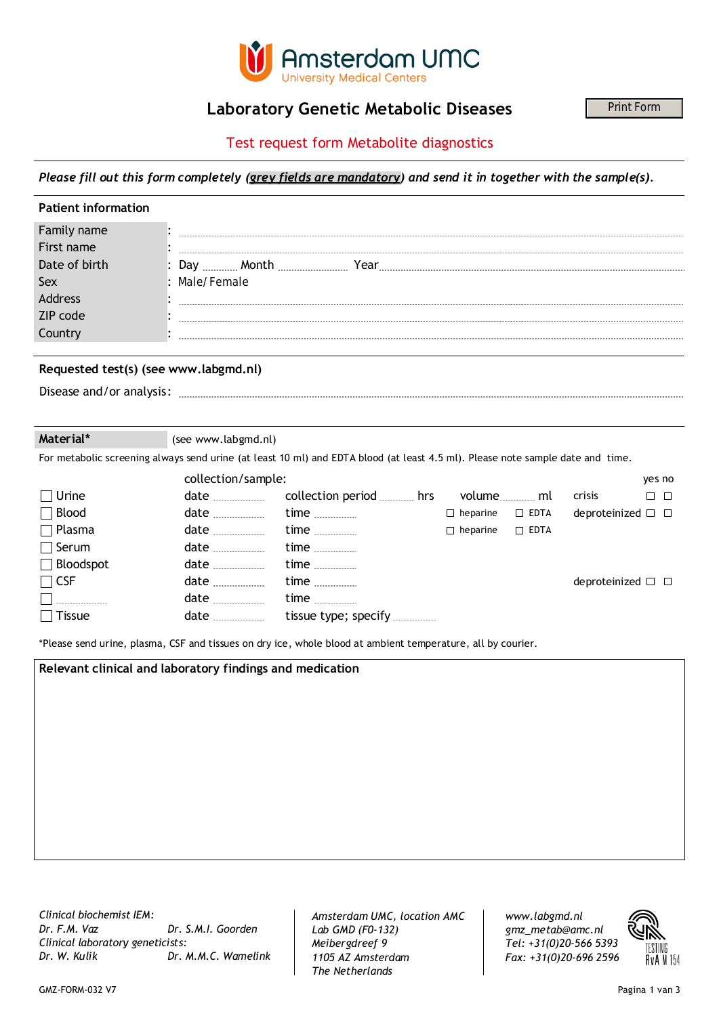

### **Laboratory Genetic Metabolic Diseases**

### Test request form Metabolite diagnostics

|                                                                                                                                |                     | <b>Laboratory Genetic Metabolic Diseases</b>                                                                           |  |  |        | Print Form |
|--------------------------------------------------------------------------------------------------------------------------------|---------------------|------------------------------------------------------------------------------------------------------------------------|--|--|--------|------------|
| Test request form Metabolite diagnostics                                                                                       |                     |                                                                                                                        |  |  |        |            |
| Please fill out this form completely (grey fields are mandatory) and send it in together with the sample(s).                   |                     |                                                                                                                        |  |  |        |            |
| <b>Patient information</b>                                                                                                     |                     |                                                                                                                        |  |  |        |            |
| Family name<br>First name<br>Date of birth<br>Sex<br>Address<br>ZIP code<br>Country                                            | : Male/Female       |                                                                                                                        |  |  |        |            |
| Requested test(s) (see www.labgmd.nl)                                                                                          |                     |                                                                                                                        |  |  |        |            |
|                                                                                                                                |                     |                                                                                                                        |  |  |        |            |
| Material*                                                                                                                      | (see www.labgmd.nl) |                                                                                                                        |  |  |        |            |
| For metabolic screening always send urine (at least 10 ml) and EDTA blood (at least 4.5 ml). Please note sample date and time. |                     |                                                                                                                        |  |  |        |            |
|                                                                                                                                | collection/sample:  |                                                                                                                        |  |  |        | yes no     |
| Urine                                                                                                                          |                     |                                                                                                                        |  |  | crisis | $\Box$     |
| ⊢ ב-בחר                                                                                                                        |                     | والمستنقل والمستحدث والمستحدث والمستنقل والمستنقص والمستنقص والمستقل والمستنقل والمستنقل والمستنقل والمستنقل والمستنقل |  |  |        |            |

| <b>PRILIC</b>    | uale |                      |                 |             | כוכו וט                           |  |
|------------------|------|----------------------|-----------------|-------------|-----------------------------------|--|
| Blood            | date | time                 | $\Box$ heparine | $\Box$ EDTA | deproteinized $\square$ $\square$ |  |
| Plasma           | date | time $\ldots$        | $\Box$ heparine | $\Box$ EDTA |                                   |  |
| Serum            | date | time <u></u>         |                 |             |                                   |  |
| $\Box$ Bloodspot | date | time                 |                 |             |                                   |  |
| $\sqcap$ CSF     | date | time                 |                 |             | deproteinized $\square$ $\square$ |  |
|                  | date | time                 |                 |             |                                   |  |
| Tissue           | date | tissue type; specify |                 |             |                                   |  |
|                  |      |                      |                 |             |                                   |  |

\*Please send urine, plasma, CSF and tissues on dry ice, whole blood at ambient temperature, all by courier.

**Relevant clinical and laboratory findings and medication**

*Clinical biochemist IEM: Clinical laboratory geneticists: Dr. F.M. Vaz Dr. S.M.I. Goorden Dr. W. Kulik Dr. M.M.C. Wamelink* *Amsterdam UMC, location AMC Lab GMD (F0-132) Meibergdreef 9 1105 AZ Amsterdam The Netherlands*

*Tel: +31(0)20-566 5393 gmz\_metab@amc.nl www.labgmd.nl Fax: +31(0)20-696 2596*

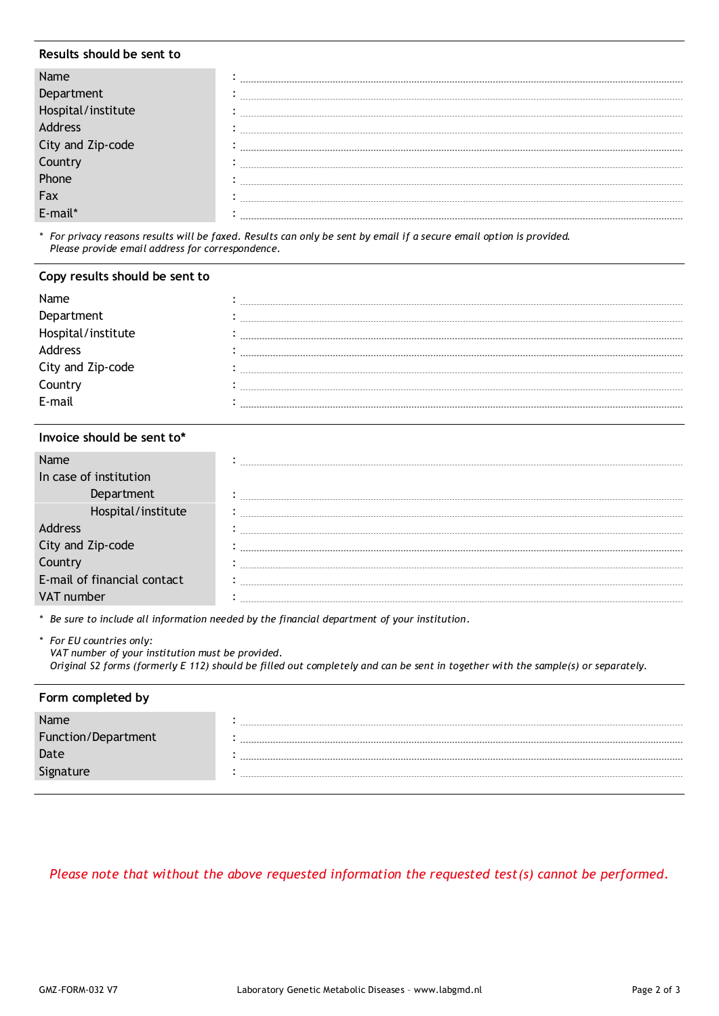#### **Results should be sent to**

| City and Zip-code |  |
|-------------------|--|
|                   |  |
| yunuy<br>hone     |  |
| Fax               |  |
|                   |  |
|                   |  |

*\* For privacy reasons results will be faxed. Results can only be sent by email if a secure email option is provided. Please provide email address for correspondence.*

#### **Copy results should be sent to**

| Name               |  |
|--------------------|--|
| Department         |  |
| Hospital/institute |  |
| Address            |  |
| City and Zip-code  |  |
| Country            |  |
| E-mail             |  |

#### **Invoice should be sent to\***

| In case of institution      |  |
|-----------------------------|--|
|                             |  |
| Hospital/institute          |  |
|                             |  |
| City and Zip-code           |  |
|                             |  |
| E-mail of financial contact |  |
| number                      |  |

*\* Be sure to include all information needed by the financial department of your institution.*

*\* For EU countries only:*

*VAT number of your institution must be provided. Original S2 forms (formerly E 112) should be filled out completely and can be sent in together with the sample(s) or separately.*

#### **Form completed by**

| Name                |  |
|---------------------|--|
| Function/Department |  |
| Date                |  |
| Signature           |  |
|                     |  |

### *Please note that without the above requested information the requested test(s) cannot be performed.*